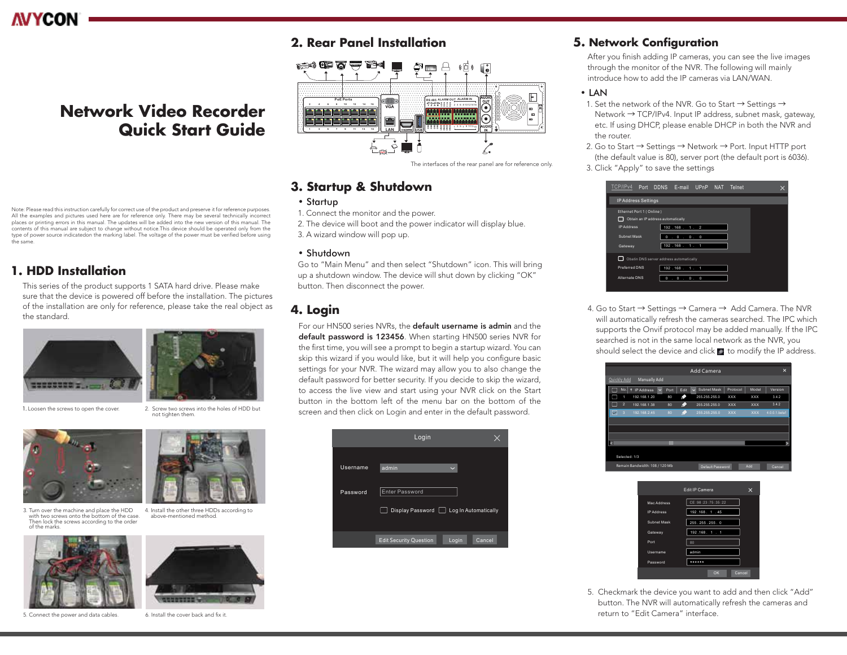

# **Network Video Recorder Quick Start Guide**

Note: Please read this instruction carefully for correct use of the product and preserve it for reference purposes. All the examples and pictures used here are for reference only. There may be several technically incorrect places or printing errors in this manual. The updates will be added into the new version of this manual. The contents of this manual are subject to change without notice.This device should be operated only from the type of power source indicatedon the marking label. The voltage of the power must be verified before using the same.

## **1. HDD Installation**

This series of the product supports 1 SATA hard drive. Please make sure that the device is powered off before the installation. The pictures of the installation are only for reference, please take the real object as the standard.





1. Loosen the screws to open the cover. 2. Screw two screws into the holes of HDD but not tighten them.



3. Turn over the machine and place the HDD 4. Install the other three HDDs according to with two screws onto the bottom of the case. Then lock the screws according to the order of the marks.





## **2. Rear Panel Installation**



## **3. Startup & Shutdown**

### • Startup

- 1. Connect the monitor and the power.
- 2. The device will boot and the power indicator will display blue.
- 3. A wizard window will pop up.

### • Shutdown

Go to "Main Menu" and then select "Shutdown" icon. This will bring up a shutdown window. The device will shut down by clicking "OK" button. Then disconnect the power.

## **4. Login**

For our HN500 series NVRs, the default username is admin and the default password is 123456. When starting HN500 series NVR for the first time, you will see a prompt to begin a startup wizard. You can skip this wizard if you would like, but it will help you configure basic settings for your NVR. The wizard may allow you to also change the default password for better security. If you decide to skip the wizard, to access the live view and start using your NVR click on the Start button in the bottom left of the menu bar on the bottom of the screen and then click on Login and enter in the default password.

|          | Login                                            |
|----------|--------------------------------------------------|
| Username | admin                                            |
| Password | Enter Password                                   |
|          | Display Password   Log In Automatically          |
|          | <b>Edit Security Question</b><br>Cancel<br>Login |

## **5. Network Configuration**

After you finish adding IP cameras, you can see the live images through the monitor of the NVR. The following will mainly introduce how to add the IP cameras via LAN/WAN.

### • LAN

- 1. Set the network of the NVR. Go to Start  $\rightarrow$  Settings  $\rightarrow$  Network → TCP/IPv4. Input IP address, subnet mask, gateway, etc. If using DHCP, please enable DHCP in both the NVR and the router.
- 2. Go to Start  $\rightarrow$  Settings  $\rightarrow$  Network  $\rightarrow$  Port. Input HTTP port (the default value is 80), server port (the default port is 6036). 3. Click "Apply" to save the settings

| TCP/IP <sub>v4</sub>     | Port DDNS E-mail UPnP NAT Telnet        |     |  |  |
|--------------------------|-----------------------------------------|-----|--|--|
| IP Address Settings      |                                         |     |  |  |
| Ethernet Port 1 (Online) |                                         |     |  |  |
|                          | Obtain an IP address automatically      |     |  |  |
| <b>IP Address</b>        | 192.168.1.2                             |     |  |  |
| Subnet Mask              | $\circ$<br>$\cdot$ 0 $\cdot$ 0<br>O     |     |  |  |
| Gateway                  | 192.168.1.1                             |     |  |  |
|                          | Obatin DNS server address automatically |     |  |  |
| Preferred DNS            | 192.168. 1. 1                           |     |  |  |
| Alternate DNS            | $\circ$<br>$\mathbf 0$<br>۰             | 0.0 |  |  |

4. Go to Start → Settings → Camera → Add Camera. The NVR will automatically refresh the cameras searched. The IPC which supports the Onvif protocol may be added manually. If the IPC searched is not in the same local network as the NVR, you should select the device and click  $\blacksquare$  to modify the IP address.





5. Checkmark the device you want to add and then click "Add" button. The NVR will automatically refresh the cameras and return to "Edit Camera" interface.

above-mentioned method.